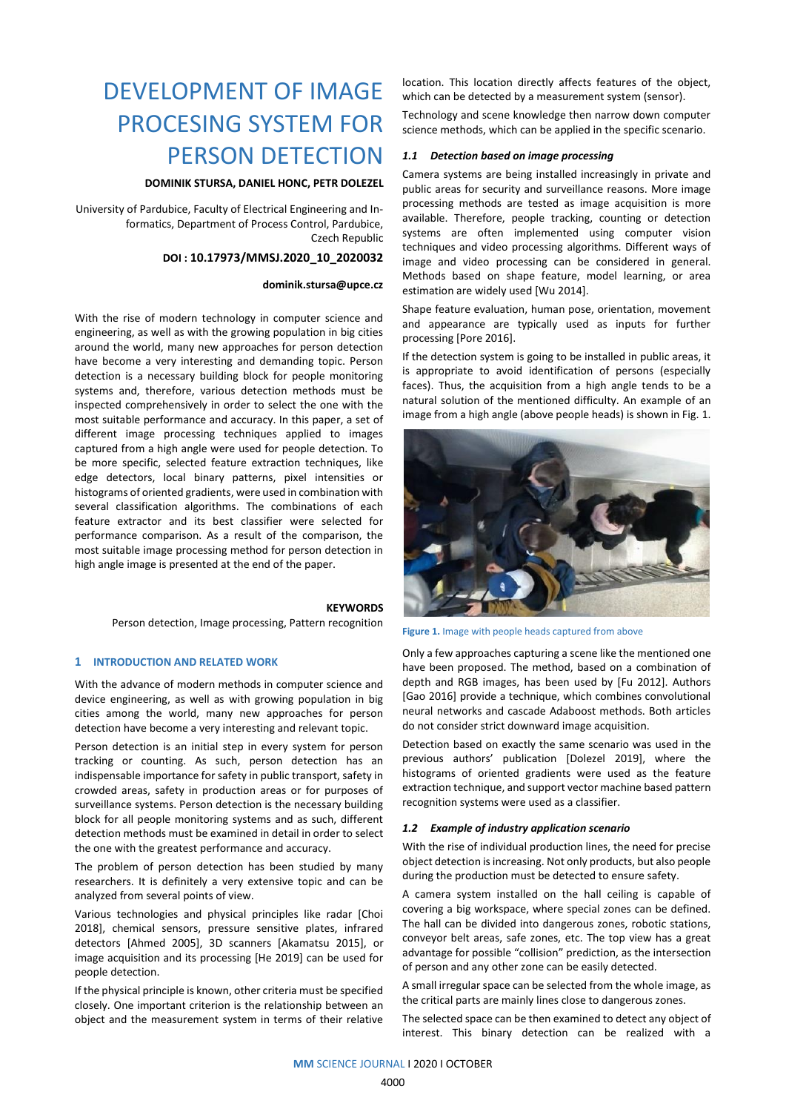# DEVELOPMENT OF IMAGE PROCESING SYSTEM FOR PERSON DETECTION

## **DOMINIK STURSA, DANIEL HONC, PETR DOLEZEL**

University of Pardubice, Faculty of Electrical Engineering and Informatics, Department of Process Control, Pardubice, Czech Republic

#### **DOI : 10.17973/MMSJ.2020\_10\_2020032**

#### **dominik.stursa@upce.cz**

With the rise of modern technology in computer science and engineering, as well as with the growing population in big cities around the world, many new approaches for person detection have become a very interesting and demanding topic. Person detection is a necessary building block for people monitoring systems and, therefore, various detection methods must be inspected comprehensively in order to select the one with the most suitable performance and accuracy. In this paper, a set of different image processing techniques applied to images captured from a high angle were used for people detection. To be more specific, selected feature extraction techniques, like edge detectors, local binary patterns, pixel intensities or histograms of oriented gradients, were used in combination with several classification algorithms. The combinations of each feature extractor and its best classifier were selected for performance comparison. As a result of the comparison, the most suitable image processing method for person detection in high angle image is presented at the end of the paper.

#### **KEYWORDS**

Person detection, Image processing, Pattern recognition

#### **1 INTRODUCTION AND RELATED WORK**

With the advance of modern methods in computer science and device engineering, as well as with growing population in big cities among the world, many new approaches for person detection have become a very interesting and relevant topic.

Person detection is an initial step in every system for person tracking or counting. As such, person detection has an indispensable importance for safety in public transport, safety in crowded areas, safety in production areas or for purposes of surveillance systems. Person detection is the necessary building block for all people monitoring systems and as such, different detection methods must be examined in detail in order to select the one with the greatest performance and accuracy.

The problem of person detection has been studied by many researchers. It is definitely a very extensive topic and can be analyzed from several points of view.

Various technologies and physical principles like radar [Choi 2018], chemical sensors, pressure sensitive plates, infrared detectors [Ahmed 2005], 3D scanners [Akamatsu 2015], or image acquisition and its processing [He 2019] can be used for people detection.

If the physical principle is known, other criteria must be specified closely. One important criterion is the relationship between an object and the measurement system in terms of their relative

location. This location directly affects features of the object, which can be detected by a measurement system (sensor).

Technology and scene knowledge then narrow down computer science methods, which can be applied in the specific scenario.

## *1.1 Detection based on image processing*

Camera systems are being installed increasingly in private and public areas for security and surveillance reasons. More image processing methods are tested as image acquisition is more available. Therefore, people tracking, counting or detection systems are often implemented using computer vision techniques and video processing algorithms. Different ways of image and video processing can be considered in general. Methods based on shape feature, model learning, or area estimation are widely used [Wu 2014].

Shape feature evaluation, human pose, orientation, movement and appearance are typically used as inputs for further processing [Pore 2016].

If the detection system is going to be installed in public areas, it is appropriate to avoid identification of persons (especially faces). Thus, the acquisition from a high angle tends to be a natural solution of the mentioned difficulty. An example of an image from a high angle (above people heads) is shown in Fig. 1.



**Figure 1.** Image with people heads captured from above

Only a few approaches capturing a scene like the mentioned one have been proposed. The method, based on a combination of depth and RGB images, has been used by [Fu 2012]. Authors [Gao 2016] provide a technique, which combines convolutional neural networks and cascade Adaboost methods. Both articles do not consider strict downward image acquisition.

Detection based on exactly the same scenario was used in the previous authors' publication [Dolezel 2019], where the histograms of oriented gradients were used as the feature extraction technique, and support vector machine based pattern recognition systems were used as a classifier.

#### *1.2 Example of industry application scenario*

With the rise of individual production lines, the need for precise object detection is increasing. Not only products, but also people during the production must be detected to ensure safety.

A camera system installed on the hall ceiling is capable of covering a big workspace, where special zones can be defined. The hall can be divided into dangerous zones, robotic stations, conveyor belt areas, safe zones, etc. The top view has a great advantage for possible "collision" prediction, as the intersection of person and any other zone can be easily detected.

A small irregular space can be selected from the whole image, as the critical parts are mainly lines close to dangerous zones.

The selected space can be then examined to detect any object of interest. This binary detection can be realized with a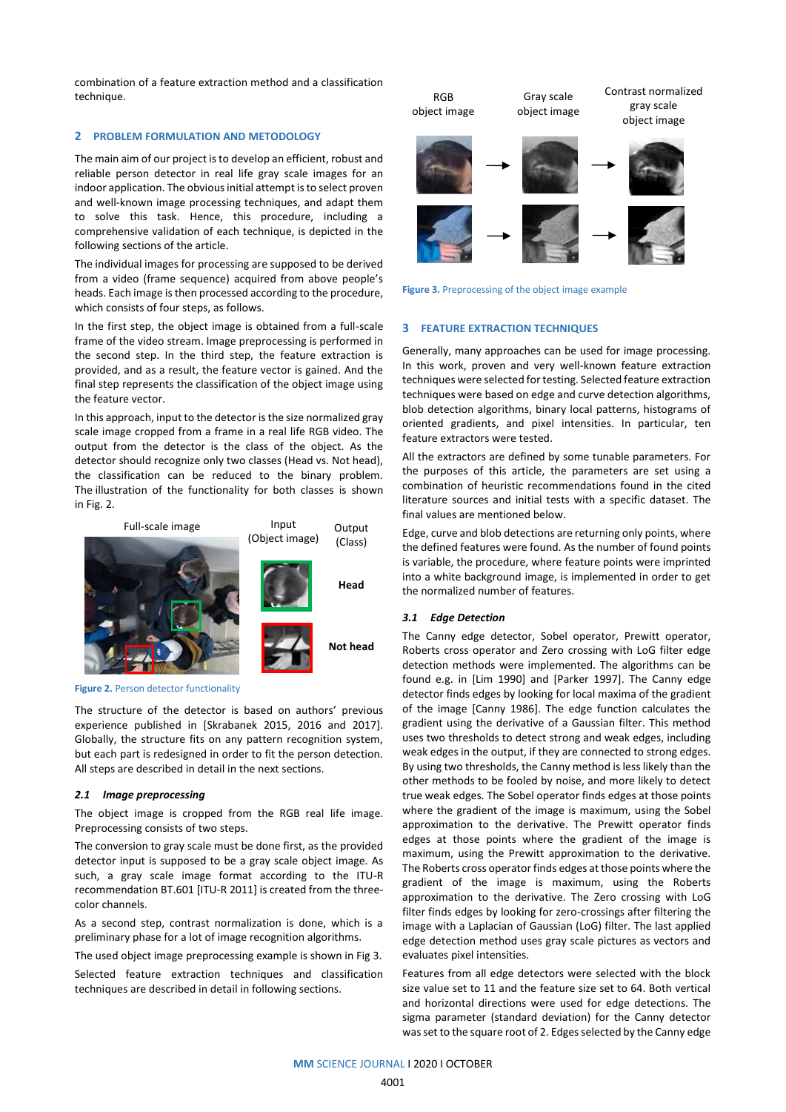combination of a feature extraction method and a classification technique.

## **2 PROBLEM FORMULATION AND METODOLOGY**

The main aim of our project is to develop an efficient, robust and reliable person detector in real life gray scale images for an indoor application. The obvious initial attempt is to select proven and well-known image processing techniques, and adapt them to solve this task. Hence, this procedure, including a comprehensive validation of each technique, is depicted in the following sections of the article.

The individual images for processing are supposed to be derived from a video (frame sequence) acquired from above people's heads. Each image is then processed according to the procedure, which consists of four steps, as follows.

In the first step, the object image is obtained from a full-scale frame of the video stream. Image preprocessing is performed in the second step. In the third step, the feature extraction is provided, and as a result, the feature vector is gained. And the final step represents the classification of the object image using the feature vector.

In this approach, input to the detector is the size normalized gray scale image cropped from a frame in a real life RGB video. The output from the detector is the class of the object. As the detector should recognize only two classes (Head vs. Not head), the classification can be reduced to the binary problem. The illustration of the functionality for both classes is shown in Fig. 2.



**Figure 2.** Person detector functionality

The structure of the detector is based on authors' previous experience published in [Skrabanek 2015, 2016 and 2017]. Globally, the structure fits on any pattern recognition system, but each part is redesigned in order to fit the person detection. All steps are described in detail in the next sections.

#### *2.1 Image preprocessing*

The object image is cropped from the RGB real life image. Preprocessing consists of two steps.

The conversion to gray scale must be done first, as the provided detector input is supposed to be a gray scale object image. As such, a gray scale image format according to the ITU-R recommendation BT.601 [ITU-R 2011] is created from the threecolor channels.

As a second step, contrast normalization is done, which is a preliminary phase for a lot of image recognition algorithms.

The used object image preprocessing example is shown in Fig 3.

Selected feature extraction techniques and classification techniques are described in detail in following sections.





## **3 FEATURE EXTRACTION TECHNIQUES**

Generally, many approaches can be used for image processing. In this work, proven and very well-known feature extraction techniques were selected for testing. Selected feature extraction techniques were based on edge and curve detection algorithms, blob detection algorithms, binary local patterns, histograms of oriented gradients, and pixel intensities. In particular, ten feature extractors were tested.

All the extractors are defined by some tunable parameters. For the purposes of this article, the parameters are set using a combination of heuristic recommendations found in the cited literature sources and initial tests with a specific dataset. The final values are mentioned below.

Edge, curve and blob detections are returning only points, where the defined features were found. As the number of found points is variable, the procedure, where feature points were imprinted into a white background image, is implemented in order to get the normalized number of features.

## *3.1 Edge Detection*

The Canny edge detector, Sobel operator, Prewitt operator, Roberts cross operator and Zero crossing with LoG filter edge detection methods were implemented. The algorithms can be found e.g. in [Lim 1990] and [Parker 1997]. The Canny edge detector finds edges by looking for local maxima of the gradient of the image [Canny 1986]. The edge function calculates the gradient using the derivative of a Gaussian filter. This method uses two thresholds to detect strong and weak edges, including weak edges in the output, if they are connected to strong edges. By using two thresholds, the Canny method is less likely than the other methods to be fooled by noise, and more likely to detect true weak edges. The Sobel operator finds edges at those points where the gradient of the image is maximum, using the Sobel approximation to the derivative. The Prewitt operator finds edges at those points where the gradient of the image is maximum, using the Prewitt approximation to the derivative. The Roberts cross operator finds edges at those points where the gradient of the image is maximum, using the Roberts approximation to the derivative. The Zero crossing with LoG filter finds edges by looking for zero-crossings after filtering the image with a Laplacian of Gaussian (LoG) filter. The last applied edge detection method uses gray scale pictures as vectors and evaluates pixel intensities.

Features from all edge detectors were selected with the block size value set to 11 and the feature size set to 64. Both vertical and horizontal directions were used for edge detections. The sigma parameter (standard deviation) for the Canny detector was set to the square root of 2. Edges selected by the Canny edge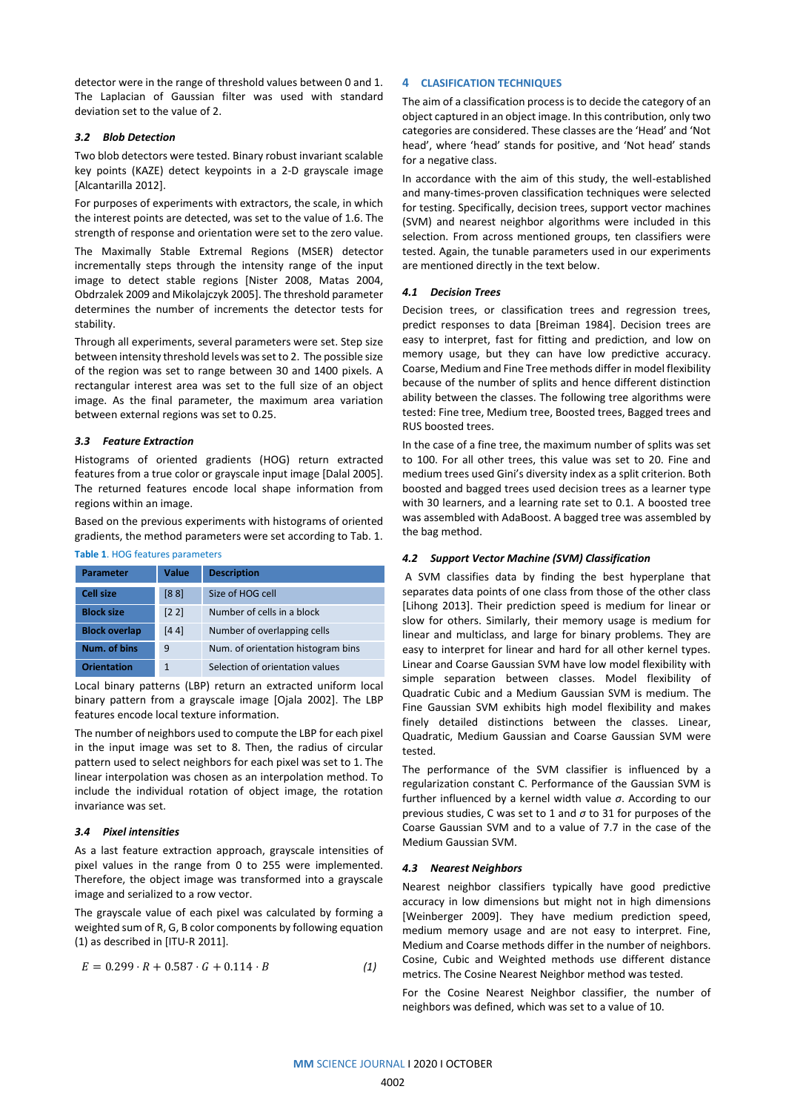detector were in the range of threshold values between 0 and 1. The Laplacian of Gaussian filter was used with standard deviation set to the value of 2.

## *3.2 Blob Detection*

Two blob detectors were tested. Binary robust invariant scalable key points (KAZE) detect keypoints in a 2-D grayscale image [Alcantarilla 2012].

For purposes of experiments with extractors, the scale, in which the interest points are detected, was set to the value of 1.6. The strength of response and orientation were set to the zero value.

The Maximally Stable Extremal Regions (MSER) detector incrementally steps through the intensity range of the input image to detect stable regions [Nister 2008, Matas 2004, Obdrzalek 2009 and Mikolajczyk 2005]. The threshold parameter determines the number of increments the detector tests for stability.

Through all experiments, several parameters were set. Step size between intensity threshold levels was set to 2. The possible size of the region was set to range between 30 and 1400 pixels. A rectangular interest area was set to the full size of an object image. As the final parameter, the maximum area variation between external regions was set to 0.25.

## *3.3 Feature Extraction*

Histograms of oriented gradients (HOG) return extracted features from a true color or grayscale input image [Dalal 2005]. The returned features encode local shape information from regions within an image.

Based on the previous experiments with histograms of oriented gradients, the method parameters were set according to Tab. 1.

# **Table 1**. HOG features parameters

| <b>Parameter</b>     | Value | <b>Description</b>                 |
|----------------------|-------|------------------------------------|
| <b>Cell size</b>     | [88]  | Size of HOG cell                   |
| <b>Block size</b>    | [2 2] | Number of cells in a block         |
| <b>Block overlap</b> | [44]  | Number of overlapping cells        |
| Num. of bins         | 9     | Num. of orientation histogram bins |
| <b>Orientation</b>   | 1     | Selection of orientation values    |

Local binary patterns (LBP) return an extracted uniform local binary pattern from a grayscale image [Ojala 2002]. The LBP features encode local texture information.

The number of neighbors used to compute the LBP for each pixel in the input image was set to 8. Then, the radius of circular pattern used to select neighbors for each pixel was set to 1. The linear interpolation was chosen as an interpolation method. To include the individual rotation of object image, the rotation invariance was set.

#### *3.4 Pixel intensities*

As a last feature extraction approach, grayscale intensities of pixel values in the range from 0 to 255 were implemented. Therefore, the object image was transformed into a grayscale image and serialized to a row vector.

The grayscale value of each pixel was calculated by forming a weighted sum of R, G, B color components by following equation (1) as described in [ITU-R 2011].

$$
E = 0.299 \cdot R + 0.587 \cdot G + 0.114 \cdot B \tag{1}
$$

#### **4 CLASIFICATION TECHNIQUES**

The aim of a classification process is to decide the category of an object captured in an object image. In this contribution, only two categories are considered. These classes are the 'Head' and 'Not head', where 'head' stands for positive, and 'Not head' stands for a negative class.

In accordance with the aim of this study, the well-established and many-times-proven classification techniques were selected for testing. Specifically, decision trees, support vector machines (SVM) and nearest neighbor algorithms were included in this selection. From across mentioned groups, ten classifiers were tested. Again, the tunable parameters used in our experiments are mentioned directly in the text below.

## *4.1 Decision Trees*

Decision trees, or classification trees and regression trees, predict responses to data [Breiman 1984]. Decision trees are easy to interpret, fast for fitting and prediction, and low on memory usage, but they can have low predictive accuracy. Coarse, Medium and Fine Tree methods differ in model flexibility because of the number of splits and hence different distinction ability between the classes. The following tree algorithms were tested: Fine tree, Medium tree, Boosted trees, Bagged trees and RUS boosted trees.

In the case of a fine tree, the maximum number of splits was set to 100. For all other trees, this value was set to 20. Fine and medium trees used Gini's diversity index as a split criterion. Both boosted and bagged trees used decision trees as a learner type with 30 learners, and a learning rate set to 0.1. A boosted tree was assembled with AdaBoost. A bagged tree was assembled by the bag method.

#### *4.2 Support Vector Machine (SVM) Classification*

A SVM classifies data by finding the best hyperplane that separates data points of one class from those of the other class [Lihong 2013]. Their prediction speed is medium for linear or slow for others. Similarly, their memory usage is medium for linear and multiclass, and large for binary problems. They are easy to interpret for linear and hard for all other kernel types. Linear and Coarse Gaussian SVM have low model flexibility with simple separation between classes. Model flexibility of Quadratic Cubic and a Medium Gaussian SVM is medium. The Fine Gaussian SVM exhibits high model flexibility and makes finely detailed distinctions between the classes. Linear, Quadratic, Medium Gaussian and Coarse Gaussian SVM were tested.

The performance of the SVM classifier is influenced by a regularization constant C. Performance of the Gaussian SVM is further influenced by a kernel width value *σ*. According to our previous studies, C was set to 1 and *σ* to 31 for purposes of the Coarse Gaussian SVM and to a value of 7.7 in the case of the Medium Gaussian SVM.

#### *4.3 Nearest Neighbors*

Nearest neighbor classifiers typically have good predictive accuracy in low dimensions but might not in high dimensions [Weinberger 2009]. They have medium prediction speed, medium memory usage and are not easy to interpret. Fine, Medium and Coarse methods differ in the number of neighbors. Cosine, Cubic and Weighted methods use different distance metrics. The Cosine Nearest Neighbor method was tested.

For the Cosine Nearest Neighbor classifier, the number of neighbors was defined, which was set to a value of 10.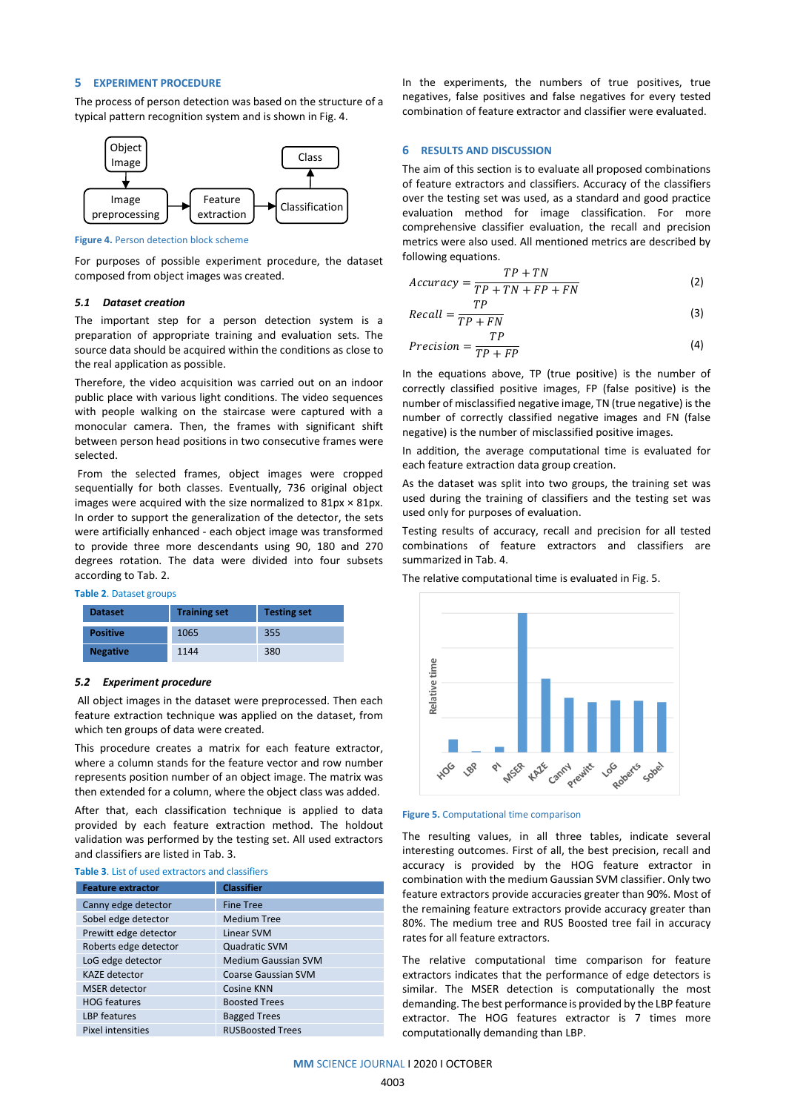#### **5 EXPERIMENT PROCEDURE**

The process of person detection was based on the structure of a typical pattern recognition system and is shown in Fig. 4.



**Figure 4.** Person detection block scheme

For purposes of possible experiment procedure, the dataset composed from object images was created.

#### *5.1 Dataset creation*

The important step for a person detection system is a preparation of appropriate training and evaluation sets. The source data should be acquired within the conditions as close to the real application as possible.

Therefore, the video acquisition was carried out on an indoor public place with various light conditions. The video sequences with people walking on the staircase were captured with a monocular camera. Then, the frames with significant shift between person head positions in two consecutive frames were selected.

From the selected frames, object images were cropped sequentially for both classes. Eventually, 736 original object images were acquired with the size normalized to  $81px \times 81px$ . In order to support the generalization of the detector, the sets were artificially enhanced - each object image was transformed to provide three more descendants using 90, 180 and 270 degrees rotation. The data were divided into four subsets according to Tab. 2.

#### **Table 2**. Dataset groups

| <b>Dataset</b>  | <b>Training set</b> | <b>Testing set</b> |  |  |  |
|-----------------|---------------------|--------------------|--|--|--|
| <b>Positive</b> | 1065                | 355                |  |  |  |
| <b>Negative</b> | 1144                | 380                |  |  |  |

#### *5.2 Experiment procedure*

All object images in the dataset were preprocessed. Then each feature extraction technique was applied on the dataset, from which ten groups of data were created.

This procedure creates a matrix for each feature extractor, where a column stands for the feature vector and row number represents position number of an object image. The matrix was then extended for a column, where the object class was added.

After that, each classification technique is applied to data provided by each feature extraction method. The holdout validation was performed by the testing set. All used extractors and classifiers are listed in Tab. 3.

#### **Table 3**. List of used extractors and classifiers

| <b>Feature extractor</b> | <b>Classifier</b>          |  |  |  |  |  |
|--------------------------|----------------------------|--|--|--|--|--|
| Canny edge detector      | <b>Fine Tree</b>           |  |  |  |  |  |
| Sobel edge detector      | <b>Medium Tree</b>         |  |  |  |  |  |
| Prewitt edge detector    | Linear SVM                 |  |  |  |  |  |
| Roberts edge detector    | <b>Quadratic SVM</b>       |  |  |  |  |  |
| LoG edge detector        | <b>Medium Gaussian SVM</b> |  |  |  |  |  |
| <b>KAZE</b> detector     | <b>Coarse Gaussian SVM</b> |  |  |  |  |  |
| <b>MSER</b> detector     | Cosine KNN                 |  |  |  |  |  |
| <b>HOG features</b>      | <b>Boosted Trees</b>       |  |  |  |  |  |
| LBP features             | <b>Bagged Trees</b>        |  |  |  |  |  |
| Pixel intensities        | <b>RUSBoosted Trees</b>    |  |  |  |  |  |

In the experiments, the numbers of true positives, true negatives, false positives and false negatives for every tested combination of feature extractor and classifier were evaluated.

#### **6 RESULTS AND DISCUSSION**

The aim of this section is to evaluate all proposed combinations of feature extractors and classifiers. Accuracy of the classifiers over the testing set was used, as a standard and good practice evaluation method for image classification. For more comprehensive classifier evaluation, the recall and precision metrics were also used. All mentioned metrics are described by following equations.

$$
Accuracy = \frac{TP + TN}{TP + TN + FP + FN}
$$
 (2)

$$
Recall = \frac{TP}{TP + FN}
$$
 (3)

$$
Precision = \frac{TP}{TP + FP}
$$
 (4)

In the equations above, TP (true positive) is the number of correctly classified positive images, FP (false positive) is the number of misclassified negative image, TN (true negative) is the number of correctly classified negative images and FN (false negative) is the number of misclassified positive images.

In addition, the average computational time is evaluated for each feature extraction data group creation.

As the dataset was split into two groups, the training set was used during the training of classifiers and the testing set was used only for purposes of evaluation.

Testing results of accuracy, recall and precision for all tested combinations of feature extractors and classifiers are summarized in Tab. 4.

The relative computational time is evaluated in Fig. 5.



#### **Figure 5.** Computational time comparison

The resulting values, in all three tables, indicate several interesting outcomes. First of all, the best precision, recall and accuracy is provided by the HOG feature extractor in combination with the medium Gaussian SVM classifier. Only two feature extractors provide accuracies greater than 90%. Most of the remaining feature extractors provide accuracy greater than 80%. The medium tree and RUS Boosted tree fail in accuracy rates for all feature extractors.

The relative computational time comparison for feature extractors indicates that the performance of edge detectors is similar. The MSER detection is computationally the most demanding. The best performance is provided by the LBP feature extractor. The HOG features extractor is 7 times more computationally demanding than LBP.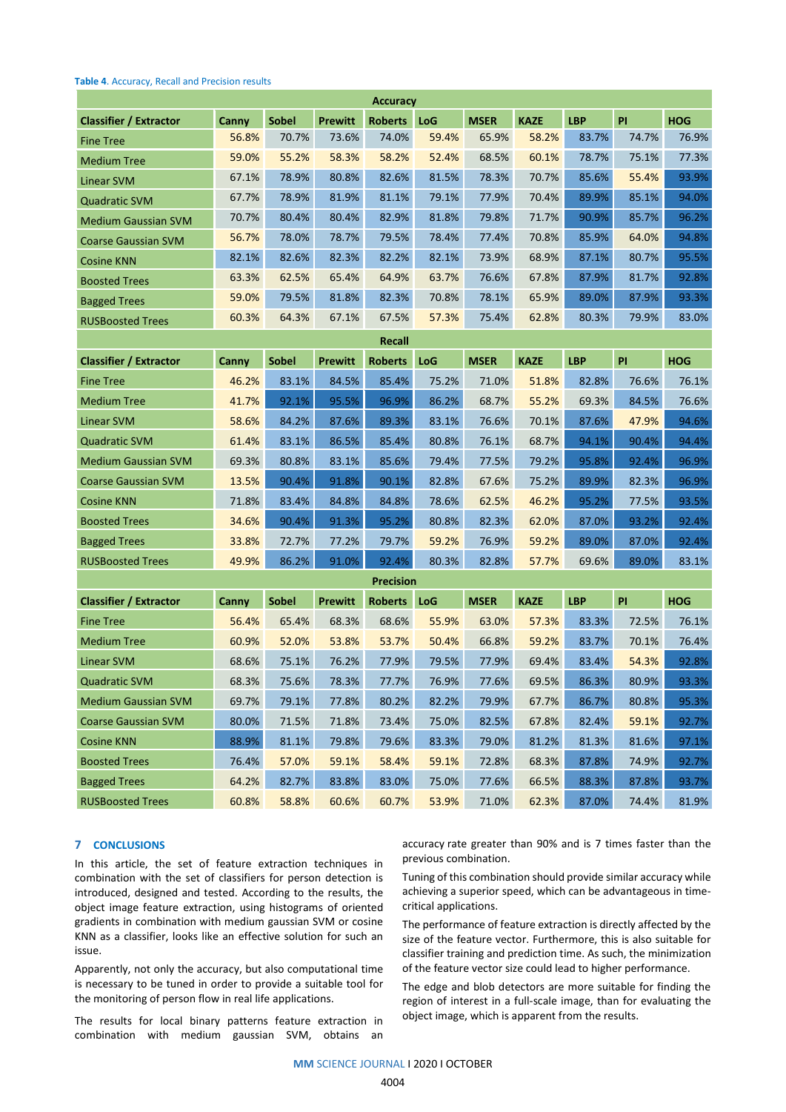#### **Table 4**. Accuracy, Recall and Precision results

| <b>Accuracy</b>               |       |              |                |                  |       |             |             |            |       |            |
|-------------------------------|-------|--------------|----------------|------------------|-------|-------------|-------------|------------|-------|------------|
| <b>Classifier / Extractor</b> | Canny | <b>Sobel</b> | <b>Prewitt</b> | Roberts LoG      |       | <b>MSER</b> | <b>KAZE</b> | <b>LBP</b> | PI    | <b>HOG</b> |
| <b>Fine Tree</b>              | 56.8% | 70.7%        | 73.6%          | 74.0%            | 59.4% | 65.9%       | 58.2%       | 83.7%      | 74.7% | 76.9%      |
| <b>Medium Tree</b>            | 59.0% | 55.2%        | 58.3%          | 58.2%            | 52.4% | 68.5%       | 60.1%       | 78.7%      | 75.1% | 77.3%      |
| <b>Linear SVM</b>             | 67.1% | 78.9%        | 80.8%          | 82.6%            | 81.5% | 78.3%       | 70.7%       | 85.6%      | 55.4% | 93.9%      |
| <b>Quadratic SVM</b>          | 67.7% | 78.9%        | 81.9%          | 81.1%            | 79.1% | 77.9%       | 70.4%       | 89.9%      | 85.1% | 94.0%      |
| <b>Medium Gaussian SVM</b>    | 70.7% | 80.4%        | 80.4%          | 82.9%            | 81.8% | 79.8%       | 71.7%       | 90.9%      | 85.7% | 96.2%      |
| <b>Coarse Gaussian SVM</b>    | 56.7% | 78.0%        | 78.7%          | 79.5%            | 78.4% | 77.4%       | 70.8%       | 85.9%      | 64.0% | 94.8%      |
| <b>Cosine KNN</b>             | 82.1% | 82.6%        | 82.3%          | 82.2%            | 82.1% | 73.9%       | 68.9%       | 87.1%      | 80.7% | 95.5%      |
| <b>Boosted Trees</b>          | 63.3% | 62.5%        | 65.4%          | 64.9%            | 63.7% | 76.6%       | 67.8%       | 87.9%      | 81.7% | 92.8%      |
| <b>Bagged Trees</b>           | 59.0% | 79.5%        | 81.8%          | 82.3%            | 70.8% | 78.1%       | 65.9%       | 89.0%      | 87.9% | 93.3%      |
| <b>RUSBoosted Trees</b>       | 60.3% | 64.3%        | 67.1%          | 67.5%            | 57.3% | 75.4%       | 62.8%       | 80.3%      | 79.9% | 83.0%      |
| <b>Recall</b>                 |       |              |                |                  |       |             |             |            |       |            |
| <b>Classifier / Extractor</b> | Canny | <b>Sobel</b> | <b>Prewitt</b> | <b>Roberts</b>   | LoG   | <b>MSER</b> | <b>KAZE</b> | <b>LBP</b> | PI    | <b>HOG</b> |
| <b>Fine Tree</b>              | 46.2% | 83.1%        | 84.5%          | 85.4%            | 75.2% | 71.0%       | 51.8%       | 82.8%      | 76.6% | 76.1%      |
| <b>Medium Tree</b>            | 41.7% | 92.1%        | 95.5%          | 96.9%            | 86.2% | 68.7%       | 55.2%       | 69.3%      | 84.5% | 76.6%      |
| <b>Linear SVM</b>             | 58.6% | 84.2%        | 87.6%          | 89.3%            | 83.1% | 76.6%       | 70.1%       | 87.6%      | 47.9% | 94.6%      |
| <b>Quadratic SVM</b>          | 61.4% | 83.1%        | 86.5%          | 85.4%            | 80.8% | 76.1%       | 68.7%       | 94.1%      | 90.4% | 94.4%      |
| <b>Medium Gaussian SVM</b>    | 69.3% | 80.8%        | 83.1%          | 85.6%            | 79.4% | 77.5%       | 79.2%       | 95.8%      | 92.4% | 96.9%      |
| <b>Coarse Gaussian SVM</b>    | 13.5% | 90.4%        | 91.8%          | 90.1%            | 82.8% | 67.6%       | 75.2%       | 89.9%      | 82.3% | 96.9%      |
| <b>Cosine KNN</b>             | 71.8% | 83.4%        | 84.8%          | 84.8%            | 78.6% | 62.5%       | 46.2%       | 95.2%      | 77.5% | 93.5%      |
| <b>Boosted Trees</b>          | 34.6% | 90.4%        | 91.3%          | 95.2%            | 80.8% | 82.3%       | 62.0%       | 87.0%      | 93.2% | 92.4%      |
| <b>Bagged Trees</b>           | 33.8% | 72.7%        | 77.2%          | 79.7%            | 59.2% | 76.9%       | 59.2%       | 89.0%      | 87.0% | 92.4%      |
| <b>RUSBoosted Trees</b>       | 49.9% | 86.2%        | 91.0%          | 92.4%            | 80.3% | 82.8%       | 57.7%       | 69.6%      | 89.0% | 83.1%      |
|                               |       |              |                | <b>Precision</b> |       |             |             |            |       |            |
| <b>Classifier / Extractor</b> | Canny | <b>Sobel</b> | <b>Prewitt</b> | <b>Roberts</b>   | LoG   | <b>MSER</b> | <b>KAZE</b> | <b>LBP</b> | PI    | <b>HOG</b> |
| <b>Fine Tree</b>              | 56.4% | 65.4%        | 68.3%          | 68.6%            | 55.9% | 63.0%       | 57.3%       | 83.3%      | 72.5% | 76.1%      |
| <b>Medium Tree</b>            | 60.9% | 52.0%        | 53.8%          | 53.7%            | 50.4% | 66.8%       | 59.2%       | 83.7%      | 70.1% | 76.4%      |
| <b>Linear SVM</b>             | 68.6% | 75.1%        | 76.2%          | 77.9%            | 79.5% | 77.9%       | 69.4%       | 83.4%      | 54.3% | 92.8%      |
| <b>Quadratic SVM</b>          | 68.3% | 75.6%        | 78.3%          | 77.7%            | 76.9% | 77.6%       | 69.5%       | 86.3%      | 80.9% | 93.3%      |
| <b>Medium Gaussian SVM</b>    | 69.7% | 79.1%        | 77.8%          | 80.2%            | 82.2% | 79.9%       | 67.7%       | 86.7%      | 80.8% | 95.3%      |
| <b>Coarse Gaussian SVM</b>    | 80.0% | 71.5%        | 71.8%          | 73.4%            | 75.0% | 82.5%       | 67.8%       | 82.4%      | 59.1% | 92.7%      |
| <b>Cosine KNN</b>             | 88.9% | 81.1%        | 79.8%          | 79.6%            | 83.3% | 79.0%       | 81.2%       | 81.3%      | 81.6% | 97.1%      |
| <b>Boosted Trees</b>          | 76.4% | 57.0%        | 59.1%          | 58.4%            | 59.1% | 72.8%       | 68.3%       | 87.8%      | 74.9% | 92.7%      |
| <b>Bagged Trees</b>           | 64.2% | 82.7%        | 83.8%          | 83.0%            | 75.0% | 77.6%       | 66.5%       | 88.3%      | 87.8% | 93.7%      |
| <b>RUSBoosted Trees</b>       | 60.8% | 58.8%        | 60.6%          | 60.7%            | 53.9% | 71.0%       | 62.3%       | 87.0%      | 74.4% | 81.9%      |

# **7 CONCLUSIONS**

In this article, the set of feature extraction techniques in combination with the set of classifiers for person detection is introduced, designed and tested. According to the results, the object image feature extraction, using histograms of oriented gradients in combination with medium gaussian SVM or cosine KNN as a classifier, looks like an effective solution for such an issue.

Apparently, not only the accuracy, but also computational time is necessary to be tuned in order to provide a suitable tool for the monitoring of person flow in real life applications.

The results for local binary patterns feature extraction in combination with medium gaussian SVM, obtains an accuracy rate greater than 90% and is 7 times faster than the previous combination.

Tuning of this combination should provide similar accuracy while achieving a superior speed, which can be advantageous in timecritical applications.

The performance of feature extraction is directly affected by the size of the feature vector. Furthermore, this is also suitable for classifier training and prediction time. As such, the minimization of the feature vector size could lead to higher performance.

The edge and blob detectors are more suitable for finding the region of interest in a full-scale image, than for evaluating the object image, which is apparent from the results.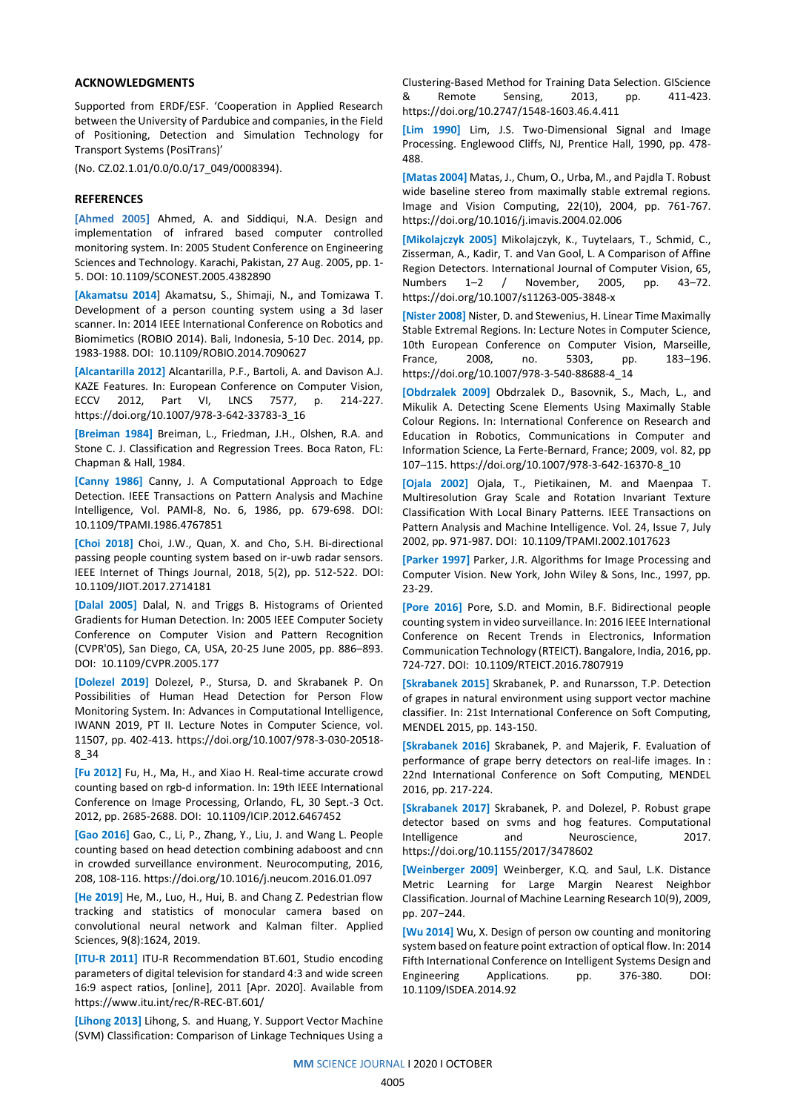#### **ACKNOWLEDGMENTS**

Supported from ERDF/ESF. 'Cooperation in Applied Research between the University of Pardubice and companies, in the Field of Positioning, Detection and Simulation Technology for Transport Systems (PosiTrans)'

(No. CZ.02.1.01/0.0/0.0/17\_049/0008394).

## **REFERENCES**

**[Ahmed 2005]** Ahmed, A. and Siddiqui, N.A. Design and implementation of infrared based computer controlled monitoring system. In: 2005 Student Conference on Engineering Sciences and Technology. Karachi, Pakistan, 27 Aug. 2005, pp. 1- 5. DOI: 10.1109/SCONEST.2005.4382890

**[Akamatsu 2014**] Akamatsu, S., Shimaji, N., and Tomizawa T. Development of a person counting system using a 3d laser scanner. In: 2014 IEEE International Conference on Robotics and Biomimetics (ROBIO 2014). Bali, Indonesia, 5-10 Dec. 2014, pp. 1983-1988. DOI: 10.1109/ROBIO.2014.7090627

**[Alcantarilla 2012]** Alcantarilla, P.F., Bartoli, A. and Davison A.J. KAZE Features. In: European Conference on Computer Vision, ECCV 2012, Part VI, LNCS 7577, p. 214-227. https://doi.org/10.1007/978-3-642-33783-3\_16

**[Breiman 1984]** Breiman, L., Friedman, J.H., Olshen, R.A. and Stone C. J. Classification and Regression Trees. Boca Raton, FL: Chapman & Hall, 1984.

**[Canny 1986]** Canny, J. A Computational Approach to Edge Detection. IEEE Transactions on Pattern Analysis and Machine Intelligence, Vol. PAMI-8, No. 6, 1986, pp. 679-698. DOI: 10.1109/TPAMI.1986.4767851

**[Choi 2018]** Choi, J.W., Quan, X. and Cho, S.H. Bi-directional passing people counting system based on ir-uwb radar sensors. IEEE Internet of Things Journal, 2018, 5(2), pp. 512-522. DOI: 10.1109/JIOT.2017.2714181

**[Dalal 2005]** Dalal, N. and Triggs B. Histograms of Oriented Gradients for Human Detection. In: 2005 IEEE Computer Society Conference on Computer Vision and Pattern Recognition (CVPR'05), San Diego, CA, USA, 20-25 June 2005, pp. 886–893. DOI: 10.1109/CVPR.2005.177

**[Dolezel 2019]** Dolezel, P., Stursa, D. and Skrabanek P. On Possibilities of Human Head Detection for Person Flow Monitoring System. In: Advances in Computational Intelligence, IWANN 2019, PT II. Lecture Notes in Computer Science, vol. 11507, pp. 402-413. https://doi.org/10.1007/978-3-030-20518- 8\_34

**[Fu 2012]** Fu, H., Ma, H., and Xiao H. Real-time accurate crowd counting based on rgb-d information. In: 19th IEEE International Conference on Image Processing, Orlando, FL, 30 Sept.-3 Oct. 2012, pp. 2685-2688. DOI: 10.1109/ICIP.2012.6467452

**[Gao 2016]** Gao, C., Li, P., Zhang, Y., Liu, J. and Wang L. People counting based on head detection combining adaboost and cnn in crowded surveillance environment. Neurocomputing, 2016, 208, 108-116. https://doi.org/10.1016/j.neucom.2016.01.097

**[He 2019]** He, M., Luo, H., Hui, B. and Chang Z. Pedestrian flow tracking and statistics of monocular camera based on convolutional neural network and Kalman filter. Applied Sciences, 9(8):1624, 2019.

**[ITU-R 2011]** ITU-R Recommendation BT.601, Studio encoding parameters of digital television for standard 4:3 and wide screen 16:9 aspect ratios, [online], 2011 [Apr. 2020]. Available from https://www.itu.int/rec/R-REC-BT.601/

**[Lihong 2013]** Lihong, S. and Huang, Y. Support Vector Machine (SVM) Classification: Comparison of Linkage Techniques Using a Clustering-Based Method for Training Data Selection. GIScience & Remote Sensing, 2013, pp. 411-423. https://doi.org/10.2747/1548-1603.46.4.411

**[Lim 1990]** Lim, J.S. Two-Dimensional Signal and Image Processing. Englewood Cliffs, NJ, Prentice Hall, 1990, pp. 478- 488.

**[Matas 2004]** Matas, J., Chum, O., Urba, M., and Pajdla T. Robust wide baseline stereo from maximally stable extremal regions. Image and Vision Computing, 22(10), 2004, pp. 761-767. https://doi.org/10.1016/j.imavis.2004.02.006

**[Mikolajczyk 2005]** Mikolajczyk, K., Tuytelaars, T., Schmid, C., Zisserman, A., Kadir, T. and Van Gool, L. A Comparison of Affine Region Detectors. International Journal of Computer Vision, 65, Numbers 1–2 / November, 2005, pp. 43–72. https://doi.org/10.1007/s11263-005-3848-x

**[Nister 2008]** Nister, D. and Stewenius, H. Linear Time Maximally Stable Extremal Regions. In: Lecture Notes in Computer Science, 10th European Conference on Computer Vision, Marseille, France, 2008, no. 5303, pp. 183–196. https://doi.org/10.1007/978-3-540-88688-4\_14

**[Obdrzalek 2009]** Obdrzalek D., Basovnik, S., Mach, L., and Mikulik A. Detecting Scene Elements Using Maximally Stable Colour Regions. In: International Conference on Research and Education in Robotics, Communications in Computer and Information Science, La Ferte-Bernard, France; 2009, vol. 82, pp 107–115. https://doi.org/10.1007/978-3-642-16370-8\_10

**[Ojala 2002]** Ojala, T., Pietikainen, M. and Maenpaa T. Multiresolution Gray Scale and Rotation Invariant Texture Classification With Local Binary Patterns. IEEE Transactions on Pattern Analysis and Machine Intelligence. Vol. 24, Issue 7, July 2002, pp. 971-987. DOI: 10.1109/TPAMI.2002.1017623

**[Parker 1997]** Parker, J.R. Algorithms for Image Processing and Computer Vision. New York, John Wiley & Sons, Inc., 1997, pp. 23-29.

**[Pore 2016]** Pore, S.D. and Momin, B.F. Bidirectional people counting system in video surveillance. In: 2016 IEEE International Conference on Recent Trends in Electronics, Information Communication Technology (RTEICT). Bangalore, India, 2016, pp. 724-727. DOI: 10.1109/RTEICT.2016.7807919

**[Skrabanek 2015]** Skrabanek, P. and Runarsson, T.P. Detection of grapes in natural environment using support vector machine classifier. In: 21st International Conference on Soft Computing, MENDEL 2015, pp. 143-150.

**[Skrabanek 2016]** Skrabanek, P. and Majerik, F. Evaluation of performance of grape berry detectors on real-life images. In : 22nd International Conference on Soft Computing, MENDEL 2016, pp. 217-224.

**[Skrabanek 2017]** Skrabanek, P. and Dolezel, P. Robust grape detector based on svms and hog features. Computational Intelligence and Neuroscience, 2017. https://doi.org/10.1155/2017/3478602

**[Weinberger 2009]** Weinberger, K.Q. and Saul, L.K. Distance Metric Learning for Large Margin Nearest Neighbor Classification. Journal of Machine Learning Research 10(9), 2009, pp. 207−244.

**[Wu 2014]** Wu, X. Design of person ow counting and monitoring system based on feature point extraction of optical flow. In: 2014 Fifth International Conference on Intelligent Systems Design and Engineering Applications. pp. 376-380. DOI: 10.1109/ISDEA.2014.92